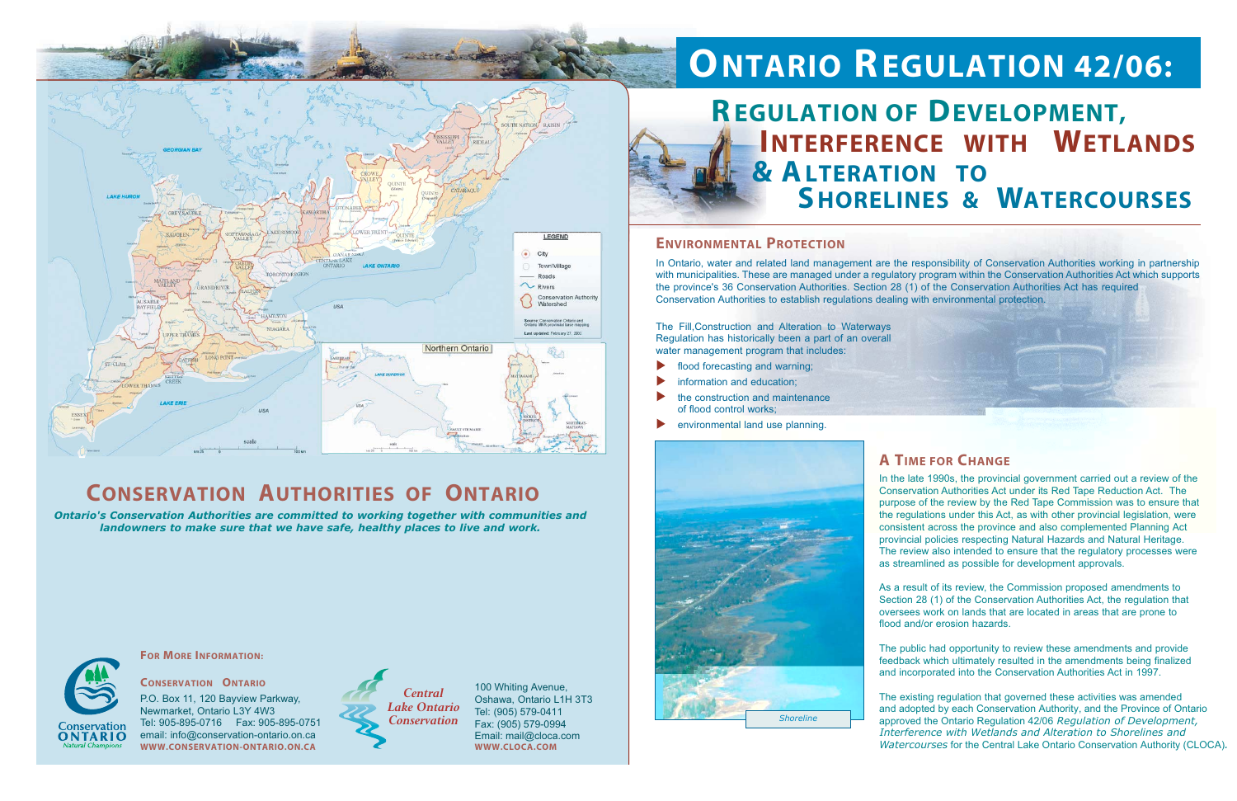

# **ONTARIO REGULATION 42/06:**



## **CONSERVATION AUTHORITIES OF ONTARIO**

*Ontario's Conservation Authorities are committed to working together with communities and landowners to make sure that we have safe, healthy places to live and work.*



ONTARIO

### **ENVIRONMENTAL PROTECTION**

### **A TIME FOR CHANGE**

In Ontario, water and related land management are the responsibility of Conservation Authorities working in partnership with municipalities. These are managed under a regulatory program within the Conservation Authorities Act which supports the province's 36 Conservation Authorities. Section 28 (1) of the Conservation Authorities Act has required Conservation Authorities to establish regulations dealing with environmental protection.

The Fill,Construction and Alteration to Waterways Regulation has historically been a part of an overall water management program that includes:

- flood forecasting and warning;
- information and education;
- the construction and maintenance of flood control works;
- environmental land use planning.

In the late 1990s, the provincial government carried out a review of the Conservation Authorities Act under its Red Tape Reduction Act. The purpose of the review by the Red Tape Commission was to ensure that the regulations under this Act, as with other provincial legislation, were consistent across the province and also complemented Planning Act provincial policies respecting Natural Hazards and Natural Heritage. The review also intended to ensure that the regulatory processes were as streamlined as possible for development approvals.

As a result of its review, the Commission proposed amendments to Section 28 (1) of the Conservation Authorities Act, the regulation that oversees work on lands that are located in areas that are prone to flood and/or erosion hazards.

The public had opportunity to review these amendments and provide feedback which ultimately resulted in the amendments being finalized and incorporated into the Conservation Authorities Act in 1997.

# **INTERFERENCE WITH WETLANDS REGULATION OF DEVELOPMENT, SHORELINES & WATERCOURSES**



**FOR MORE INFORMATION:**

The existing regulation that governed these activities was amended and adopted by each Conservation Authority, and the Province of Ontario approved the Ontario Regulation 42/06 *Regulation of Development, Interference with Wetlands and Alteration to Shorelines and Watercourses* for the Central Lake Ontario Conservation Authority (CLOCA)*.*

**CONSERVATION ONTARIO**P.O. Box 11, 120 Bayview Parkway, Newmarket, Ontario L3Y 4W3 Tel: 905-895-0716 Fax: 905-895-0751 email: info@conservation-ontario.on.ca **WWW.CONSERVATION-ONTARIO.ON.CA**

100 Whiting Avenue, Oshawa, Ontario L1H 3T3 Tel: (905) 579-0411 Fax: (905) 579-0994 Email: mail@cloca.com **WWW.CLOCA.COM**